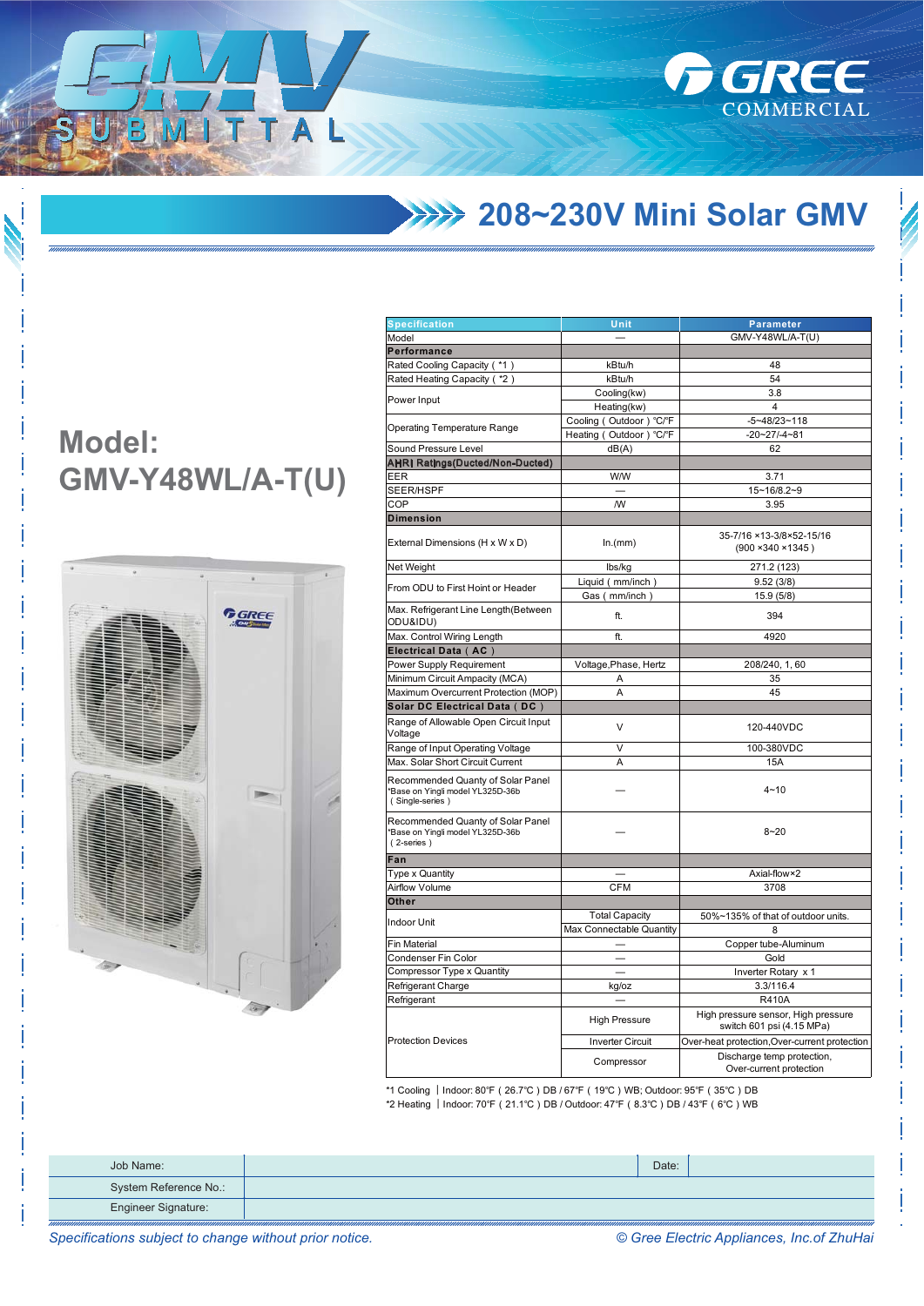**208~230V Mini Solar GMV** 

**F** GREE

COMMERCIAL

## **Model: GMV-Y48WL/A-T(U)**

TTA

 $\mathbf{I}$ 



| <b>Specification</b>                                                                     | Unit                       | <b>Parameter</b>                                                 |  |
|------------------------------------------------------------------------------------------|----------------------------|------------------------------------------------------------------|--|
| Model                                                                                    |                            | GMV-Y48WL/A-T(U)                                                 |  |
| Performance                                                                              |                            |                                                                  |  |
| Rated Cooling Capacity ( *1)                                                             | kBtu/h                     | 48                                                               |  |
| Rated Heating Capacity ( *2)                                                             | kBtu/h                     | 54                                                               |  |
|                                                                                          | Cooling(kw)                | 3.8                                                              |  |
| Power Input                                                                              | Heating(kw)                | 4                                                                |  |
|                                                                                          | Cooling (Outdoor) °C/°F    | $-5 - 48/23 - 118$                                               |  |
| <b>Operating Temperature Range</b>                                                       | Heating (Outdoor)<br>°C/°F | $-20 - 27/ - 4 - 81$                                             |  |
| Sound Pressure Level                                                                     | dB(A)                      | 62                                                               |  |
| <b>AHRI Ratings(Ducted/Non-Ducted)</b>                                                   |                            |                                                                  |  |
| EER                                                                                      | W/W                        | 3.71                                                             |  |
| SEER/HSPF                                                                                |                            | 15~16/8.2~9                                                      |  |
| COP                                                                                      | <b>NV</b>                  | 3.95                                                             |  |
| <b>Dimension</b>                                                                         |                            |                                                                  |  |
| External Dimensions (H x W x D)                                                          | ln.(mm)                    | 35-7/16 ×13-3/8×52-15/16<br>(900 × 340 × 1345)                   |  |
| Net Weight                                                                               | lbs/kg                     | 271.2 (123)                                                      |  |
| From ODU to First Hoint or Header                                                        | Liquid (mm/inch)           | 9.52(3/8)                                                        |  |
|                                                                                          | Gas (mm/inch)              | 15.9 (5/8)                                                       |  |
| Max. Refrigerant Line Length (Between<br>ODU&IDU)                                        | ft.                        | 394                                                              |  |
| Max. Control Wiring Length                                                               | ft.                        | 4920                                                             |  |
| Electrical Data (AC)                                                                     |                            |                                                                  |  |
| Power Supply Requirement                                                                 | Voltage, Phase, Hertz      | 208/240, 1, 60                                                   |  |
| Minimum Circuit Ampacity (MCA)                                                           | Α                          | 35                                                               |  |
| Maximum Overcurrent Protection (MOP)                                                     | Α                          | 45                                                               |  |
| Solar DC Electrical Data (DC)                                                            |                            |                                                                  |  |
| Range of Allowable Open Circuit Input<br>Voltage                                         | V                          | 120-440VDC                                                       |  |
| Range of Input Operating Voltage                                                         | V                          | 100-380VDC                                                       |  |
| Max. Solar Short Circuit Current                                                         | Α                          | 15A                                                              |  |
| Recommended Quanty of Solar Panel<br>*Base on Yingli model YL325D-36b<br>(Single-series) |                            | $4 - 10$                                                         |  |
| Recommended Quanty of Solar Panel<br>*Base on Yingli model YL325D-36b<br>(2-series)      |                            | $8 - 20$                                                         |  |
| Fan                                                                                      |                            |                                                                  |  |
| Type x Quantity                                                                          |                            | Axial-flow×2                                                     |  |
| <b>Airflow Volume</b>                                                                    | <b>CFM</b>                 | 3708                                                             |  |
| Other                                                                                    |                            |                                                                  |  |
| <b>Indoor Unit</b>                                                                       | <b>Total Capacity</b>      | 50%~135% of that of outdoor units.                               |  |
|                                                                                          | Max Connectable Quantity   | 8                                                                |  |
| <b>Fin Material</b>                                                                      |                            | Copper tube-Aluminum                                             |  |
| Condenser Fin Color                                                                      |                            | Gold                                                             |  |
| Compressor Type x Quantity                                                               |                            | Inverter Rotary x 1                                              |  |
| Refrigerant Charge                                                                       | kg/oz                      | 3.3/116.4                                                        |  |
| Refrigerant                                                                              |                            | <b>R410A</b>                                                     |  |
|                                                                                          | <b>High Pressure</b>       | High pressure sensor, High pressure<br>switch 601 psi (4.15 MPa) |  |
| <b>Protection Devices</b>                                                                | <b>Inverter Circuit</b>    | Over-heat protection, Over-current protection                    |  |
|                                                                                          | Compressor                 | Discharge temp protection,<br>Over-current protection            |  |

\*1 Cooling | Indoor: 80°F ( 26.7°C ) DB / 67°F ( 19°C ) WB; Outdoor: 95°F ( 35°C ) DB \*2 Heating | Indoor: 70°F (21.1°C) DB / Outdoor: 47°F (8.3°C) DB / 43°F (6°C) WB

| Job Name:                  | Date: |  |
|----------------------------|-------|--|
| System Reference No.:      |       |  |
| <b>Engineer Signature:</b> |       |  |

*Specifications subject to change without prior notice. © Gree Electric Appliances, Inc.of ZhuHai*